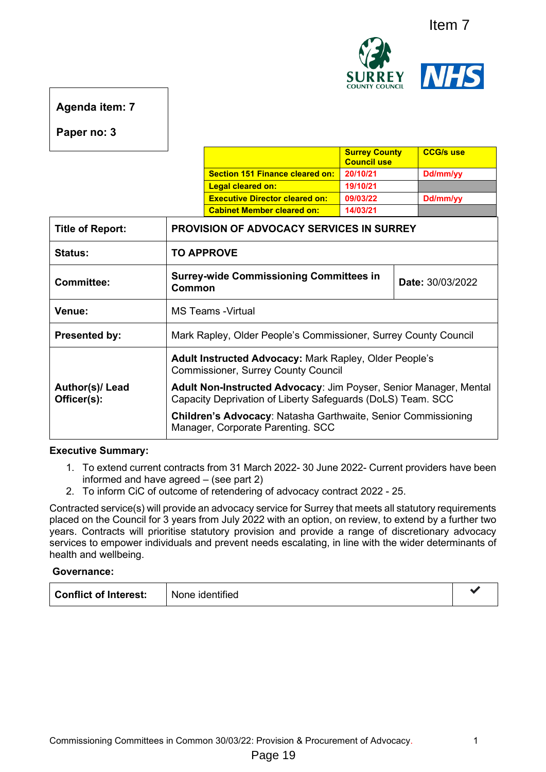

## **Agenda item: 7**

|                                        | <b>Surrey County</b><br><b>Council use</b> | <b>CCG/s use</b> |
|----------------------------------------|--------------------------------------------|------------------|
| <b>Section 151 Finance cleared on:</b> | 20/10/21                                   | Dd/mm/yy         |
| <b>Legal cleared on:</b>               | 19/10/21                                   |                  |
| <b>Executive Director cleared on:</b>  | 09/03/22                                   | Dd/mm/yy         |
| <b>Cabinet Member cleared on:</b>      | 14/03/21                                   |                  |

|                                           |                                                                                                                                  |                                                                                                                                                                                                                                                                                                                                                                                                                                 |                                            |                  | Item <sub>7</sub> |
|-------------------------------------------|----------------------------------------------------------------------------------------------------------------------------------|---------------------------------------------------------------------------------------------------------------------------------------------------------------------------------------------------------------------------------------------------------------------------------------------------------------------------------------------------------------------------------------------------------------------------------|--------------------------------------------|------------------|-------------------|
|                                           |                                                                                                                                  |                                                                                                                                                                                                                                                                                                                                                                                                                                 |                                            |                  | <b>NHS</b>        |
| Agenda item: 7                            |                                                                                                                                  |                                                                                                                                                                                                                                                                                                                                                                                                                                 |                                            |                  |                   |
| Paper no: 3                               |                                                                                                                                  |                                                                                                                                                                                                                                                                                                                                                                                                                                 |                                            |                  |                   |
|                                           |                                                                                                                                  |                                                                                                                                                                                                                                                                                                                                                                                                                                 | <b>Surrey County</b><br><b>Council use</b> | <b>CCG/s use</b> |                   |
|                                           |                                                                                                                                  | <b>Section 151 Finance cleared on:</b><br><b>Legal cleared on:</b>                                                                                                                                                                                                                                                                                                                                                              | 20/10/21<br>19/10/21                       | Dd/mm/yy         |                   |
|                                           |                                                                                                                                  | <b>Executive Director cleared on:</b>                                                                                                                                                                                                                                                                                                                                                                                           | 09/03/22                                   | Dd/mm/yy         |                   |
| <b>Title of Report:</b>                   |                                                                                                                                  | <b>Cabinet Member cleared on:</b><br><b>PROVISION OF ADVOCACY SERVICES IN SURREY</b>                                                                                                                                                                                                                                                                                                                                            | 14/03/21                                   |                  |                   |
| <b>Status:</b>                            |                                                                                                                                  | <b>TO APPROVE</b>                                                                                                                                                                                                                                                                                                                                                                                                               |                                            |                  |                   |
| <b>Committee:</b>                         | <b>Common</b>                                                                                                                    | <b>Surrey-wide Commissioning Committees in</b>                                                                                                                                                                                                                                                                                                                                                                                  |                                            | Date: 30/03/2022 |                   |
| Venue:                                    |                                                                                                                                  | <b>MS Teams - Virtual</b>                                                                                                                                                                                                                                                                                                                                                                                                       |                                            |                  |                   |
| <b>Presented by:</b>                      |                                                                                                                                  | Mark Rapley, Older People's Commissioner, Surrey County Council                                                                                                                                                                                                                                                                                                                                                                 |                                            |                  |                   |
|                                           | Adult Instructed Advocacy: Mark Rapley, Older People's<br><b>Commissioner, Surrey County Council</b>                             |                                                                                                                                                                                                                                                                                                                                                                                                                                 |                                            |                  |                   |
| Author(s)/ Lead<br>Officer(s):            | Adult Non-Instructed Advocacy: Jim Poyser, Senior Manager, Mental<br>Capacity Deprivation of Liberty Safeguards (DoLS) Team. SCC |                                                                                                                                                                                                                                                                                                                                                                                                                                 |                                            |                  |                   |
|                                           |                                                                                                                                  | <b>Children's Advocacy: Natasha Garthwaite, Senior Commissioning</b><br>Manager, Corporate Parenting. SCC                                                                                                                                                                                                                                                                                                                       |                                            |                  |                   |
| <b>Executive Summary:</b>                 |                                                                                                                                  |                                                                                                                                                                                                                                                                                                                                                                                                                                 |                                            |                  |                   |
| informed and have agreed $-$ (see part 2) |                                                                                                                                  | 1. To extend current contracts from 31 March 2022- 30 June 2022- Current providers have been<br>2. To inform CiC of outcome of retendering of advocacy contract 2022 - 25.                                                                                                                                                                                                                                                      |                                            |                  |                   |
| health and wellbeing.                     |                                                                                                                                  | Contracted service(s) will provide an advocacy service for Surrey that meets all statutory requirements<br>placed on the Council for 3 years from July 2022 with an option, on review, to extend by a further two<br>years. Contracts will prioritise statutory provision and provide a range of discretionary advocacy<br>services to empower individuals and prevent needs escalating, in line with the wider determinants of |                                            |                  |                   |
| Governance:                               |                                                                                                                                  |                                                                                                                                                                                                                                                                                                                                                                                                                                 |                                            |                  |                   |
| <b>Conflict of Interest:</b>              |                                                                                                                                  | None identified                                                                                                                                                                                                                                                                                                                                                                                                                 |                                            |                  |                   |
|                                           |                                                                                                                                  | Commissioning Committees in Common 30/03/22: Provision & Procurement of Advocacy.                                                                                                                                                                                                                                                                                                                                               |                                            |                  | 1                 |
|                                           |                                                                                                                                  | Page 19                                                                                                                                                                                                                                                                                                                                                                                                                         |                                            |                  |                   |

#### **Executive Summary:**

- 1. To extend current contracts from 31 March 2022- 30 June 2022- Current providers have been informed and have agreed – (see part 2)
- 2. To inform CiC of outcome of retendering of advocacy contract 2022 25.

#### **Governance:**

| <b>Conflict of Interest:</b> | None identified |  |
|------------------------------|-----------------|--|
|------------------------------|-----------------|--|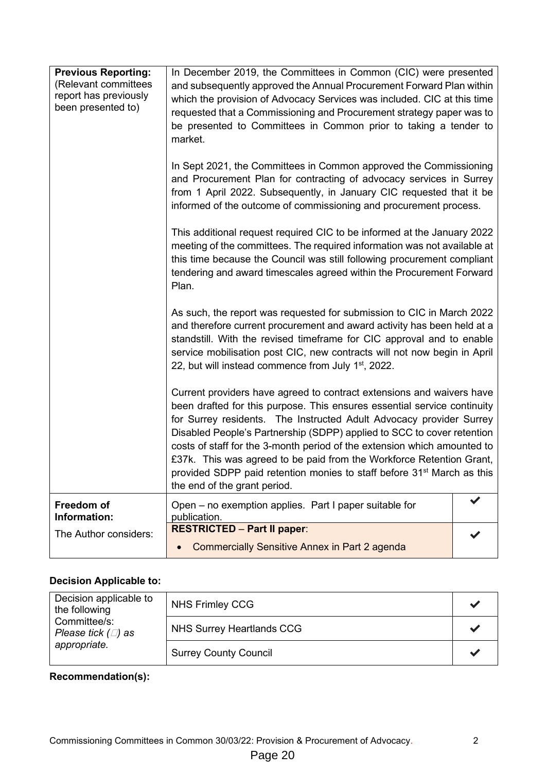| <b>Previous Reporting:</b><br>(Relevant committees<br>report has previously<br>been presented to) | In December 2019, the Committees in Common (CIC) were presented<br>and subsequently approved the Annual Procurement Forward Plan within<br>which the provision of Advocacy Services was included. CIC at this time<br>requested that a Commissioning and Procurement strategy paper was to<br>be presented to Committees in Common prior to taking a tender to<br>market.                                                                                                                                                                                                    |  |  |
|---------------------------------------------------------------------------------------------------|------------------------------------------------------------------------------------------------------------------------------------------------------------------------------------------------------------------------------------------------------------------------------------------------------------------------------------------------------------------------------------------------------------------------------------------------------------------------------------------------------------------------------------------------------------------------------|--|--|
|                                                                                                   | In Sept 2021, the Committees in Common approved the Commissioning<br>and Procurement Plan for contracting of advocacy services in Surrey<br>from 1 April 2022. Subsequently, in January CIC requested that it be<br>informed of the outcome of commissioning and procurement process.                                                                                                                                                                                                                                                                                        |  |  |
|                                                                                                   | This additional request required CIC to be informed at the January 2022<br>meeting of the committees. The required information was not available at<br>this time because the Council was still following procurement compliant<br>tendering and award timescales agreed within the Procurement Forward<br>Plan.                                                                                                                                                                                                                                                              |  |  |
|                                                                                                   | As such, the report was requested for submission to CIC in March 2022<br>and therefore current procurement and award activity has been held at a<br>standstill. With the revised timeframe for CIC approval and to enable<br>service mobilisation post CIC, new contracts will not now begin in April<br>22, but will instead commence from July 1 <sup>st</sup> , 2022.                                                                                                                                                                                                     |  |  |
|                                                                                                   | Current providers have agreed to contract extensions and waivers have<br>been drafted for this purpose. This ensures essential service continuity<br>for Surrey residents. The Instructed Adult Advocacy provider Surrey<br>Disabled People's Partnership (SDPP) applied to SCC to cover retention<br>costs of staff for the 3-month period of the extension which amounted to<br>£37k. This was agreed to be paid from the Workforce Retention Grant,<br>provided SDPP paid retention monies to staff before 31 <sup>st</sup> March as this<br>the end of the grant period. |  |  |
| Freedom of<br>Information:                                                                        | Open – no exemption applies. Part I paper suitable for<br>publication.                                                                                                                                                                                                                                                                                                                                                                                                                                                                                                       |  |  |
| The Author considers:                                                                             | <b>RESTRICTED - Part II paper:</b><br><b>Commercially Sensitive Annex in Part 2 agenda</b>                                                                                                                                                                                                                                                                                                                                                                                                                                                                                   |  |  |

# **Decision Applicable to:**

| Decision applicable to<br>the following | <b>NHS Frimley CCG</b>       | $\ddot{\phantom{1}}$     |
|-----------------------------------------|------------------------------|--------------------------|
| Committee/s:<br>Please tick $(\Box)$ as | NHS Surrey Heartlands CCG    | $\overline{\phantom{a}}$ |
| appropriate.                            | <b>Surrey County Council</b> | $\ddot{}$                |

## **Recommendation(s):**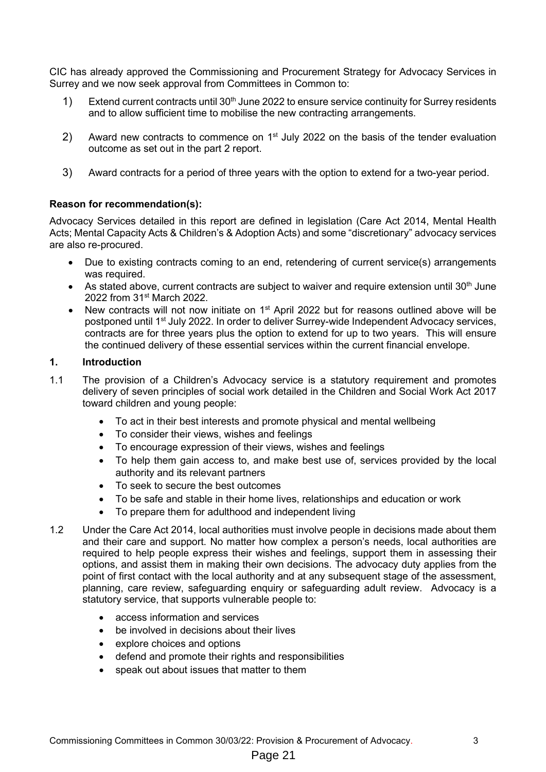CIC has already approved the Commissioning and Procurement Strategy for Advocacy Services in Surrey and we now seek approval from Committees in Common to:

- 1) Extend current contracts until 30<sup>th</sup> June 2022 to ensure service continuity for Surrey residents and to allow sufficient time to mobilise the new contracting arrangements.
- 2) Award new contracts to commence on  $1<sup>st</sup>$  July 2022 on the basis of the tender evaluation outcome as set out in the part 2 report.
- 3) Award contracts for a period of three years with the option to extend for a two-year period.

#### **Reason for recommendation(s):**

Advocacy Services detailed in this report are defined in legislation (Care Act 2014, Mental Health Acts; Mental Capacity Acts & Children's & Adoption Acts) and some "discretionary" advocacy services are also re-procured.

- Due to existing contracts coming to an end, retendering of current service(s) arrangements was required.
- As stated above, current contracts are subject to waiver and require extension until 30<sup>th</sup> June 2022 from 31st March 2022.
- New contracts will not now initiate on  $1<sup>st</sup>$  April 2022 but for reasons outlined above will be postponed until 1<sup>st</sup> July 2022. In order to deliver Surrey-wide Independent Advocacy services, contracts are for three years plus the option to extend for up to two years. This will ensure the continued delivery of these essential services within the current financial envelope.

#### **1. Introduction**

- 1.1 The provision of a Children's Advocacy service is a statutory requirement and promotes delivery of seven principles of social work detailed in the Children and Social Work Act 2017 toward children and young people:
	- To act in their best interests and promote physical and mental wellbeing
	- To consider their views, wishes and feelings
	- To encourage expression of their views, wishes and feelings
	- To help them gain access to, and make best use of, services provided by the local authority and its relevant partners
	- To seek to secure the best outcomes
	- To be safe and stable in their home lives, relationships and education or work
	- To prepare them for adulthood and independent living
- 1.2 Under the Care Act 2014, local authorities must involve people in decisions made about them and their care and support. No matter how complex a person's needs, local authorities are required to help people express their wishes and feelings, support them in assessing their options, and assist them in making their own decisions. The advocacy duty applies from the point of first contact with the local authority and at any subsequent stage of the assessment, planning, care review, safeguarding enquiry or safeguarding adult review. Advocacy is a statutory service, that supports vulnerable people to:

- access information and services
- be involved in decisions about their lives
- explore choices and options
- defend and promote their rights and responsibilities
- speak out about issues that matter to them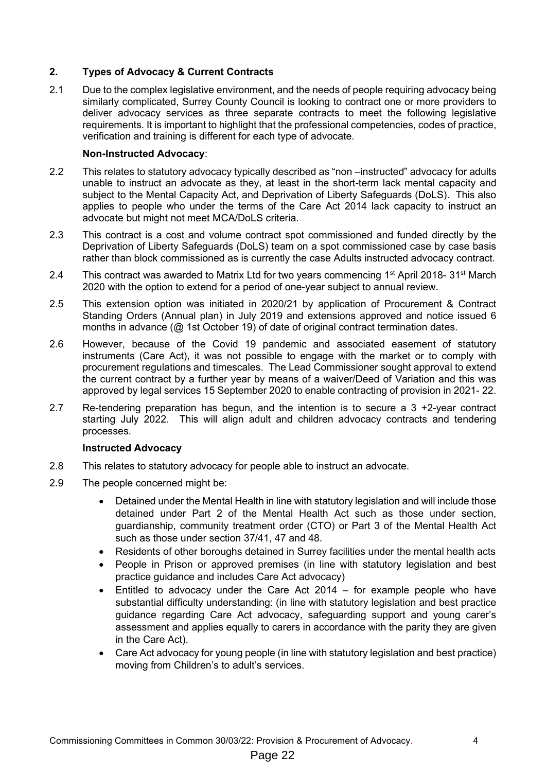## **2. Types of Advocacy & Current Contracts**

2.1 Due to the complex legislative environment, and the needs of people requiring advocacy being similarly complicated, Surrey County Council is looking to contract one or more providers to deliver advocacy services as three separate contracts to meet the following legislative requirements. It is important to highlight that the professional competencies, codes of practice, verification and training is different for each type of advocate.

#### **Non-Instructed Advocacy**:

- 2.2 This relates to statutory advocacy typically described as "non –instructed" advocacy for adults unable to instruct an advocate as they, at least in the short-term lack mental capacity and subject to the Mental Capacity Act, and Deprivation of Liberty Safeguards (DoLS). This also applies to people who under the terms of the Care Act 2014 lack capacity to instruct an advocate but might not meet MCA/DoLS criteria.
- 2.3 This contract is a cost and volume contract spot commissioned and funded directly by the Deprivation of Liberty Safeguards (DoLS) team on a spot commissioned case by case basis rather than block commissioned as is currently the case Adults instructed advocacy contract.
- 2.4 This contract was awarded to Matrix Ltd for two years commencing 1<sup>st</sup> April 2018- 31<sup>st</sup> March 2020 with the option to extend for a period of one-year subject to annual review.
- 2.5 This extension option was initiated in 2020/21 by application of Procurement & Contract Standing Orders (Annual plan) in July 2019 and extensions approved and notice issued 6 months in advance (@ 1st October 19) of date of original contract termination dates.
- 2.6 However, because of the Covid 19 pandemic and associated easement of statutory instruments (Care Act), it was not possible to engage with the market or to comply with procurement regulations and timescales. The Lead Commissioner sought approval to extend the current contract by a further year by means of a waiver/Deed of Variation and this was approved by legal services 15 September 2020 to enable contracting of provision in 2021- 22.
- 2.7 Re-tendering preparation has begun, and the intention is to secure a 3 +2-year contract starting July 2022. This will align adult and children advocacy contracts and tendering processes.

#### **Instructed Advocacy**

- 2.8 This relates to statutory advocacy for people able to instruct an advocate.
- 2.9 The people concerned might be:
	- Detained under the Mental Health in line with statutory legislation and will include those detained under Part 2 of the Mental Health Act such as those under section, guardianship, community treatment order (CTO) or Part 3 of the Mental Health Act such as those under section 37/41, 47 and 48.
	- Residents of other boroughs detained in Surrey facilities under the mental health acts
	- People in Prison or approved premises (in line with statutory legislation and best practice guidance and includes Care Act advocacy)
	- Entitled to advocacy under the Care Act 2014 for example people who have substantial difficulty understanding: (in line with statutory legislation and best practice guidance regarding Care Act advocacy, safeguarding support and young carer's assessment and applies equally to carers in accordance with the parity they are given in the Care Act).
	- Care Act advocacy for young people (in line with statutory legislation and best practice) moving from Children's to adult's services.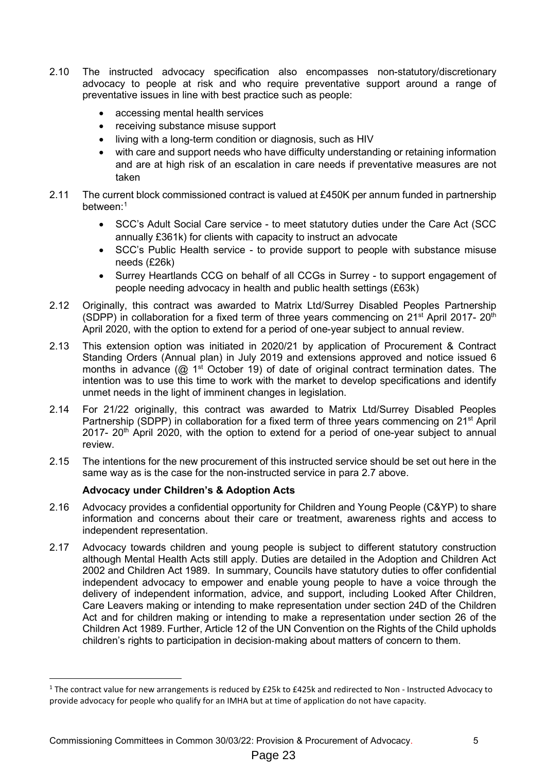- 2.10 The instructed advocacy specification also encompasses non-statutory/discretionary advocacy to people at risk and who require preventative support around a range of preventative issues in line with best practice such as people:
	- accessing mental health services
	- receiving substance misuse support
	- living with a long-term condition or diagnosis, such as HIV
	- with care and support needs who have difficulty understanding or retaining information and are at high risk of an escalation in care needs if preventative measures are not taken
- 2.11 The current block commissioned contract is valued at £450K per annum funded in partnership between:<sup>[1](#page-4-0)</sup>
	- SCC's Adult Social Care service to meet statutory duties under the Care Act (SCC annually £361k) for clients with capacity to instruct an advocate
	- SCC's Public Health service to provide support to people with substance misuse needs (£26k)
	- Surrey Heartlands CCG on behalf of all CCGs in Surrey to support engagement of people needing advocacy in health and public health settings (£63k)
- 2.12 Originally, this contract was awarded to Matrix Ltd/Surrey Disabled Peoples Partnership (SDPP) in collaboration for a fixed term of three years commencing on  $21^{st}$  April 2017-  $20^{th}$ April 2020, with the option to extend for a period of one-year subject to annual review.
- 2.13 This extension option was initiated in 2020/21 by application of Procurement & Contract Standing Orders (Annual plan) in July 2019 and extensions approved and notice issued 6 months in advance ( $@ 1<sup>st</sup>$  October 19) of date of original contract termination dates. The intention was to use this time to work with the market to develop specifications and identify unmet needs in the light of imminent changes in legislation.
- 2.14 For 21/22 originally, this contract was awarded to Matrix Ltd/Surrey Disabled Peoples Partnership (SDPP) in collaboration for a fixed term of three years commencing on 21<sup>st</sup> April  $2017$ -  $20<sup>th</sup>$  April 2020, with the option to extend for a period of one-year subject to annual review.
- 2.15 The intentions for the new procurement of this instructed service should be set out here in the same way as is the case for the non-instructed service in para 2.7 above.

## **Advocacy under Children's & Adoption Acts**

- 2.16 Advocacy provides a confidential opportunity for Children and Young People (C&YP) to share information and concerns about their care or treatment, awareness rights and access to independent representation.
- 2.17 Advocacy towards children and young people is subject to different statutory construction although Mental Health Acts still apply. Duties are detailed in the Adoption and Children Act 2002 and Children Act 1989. In summary, Councils have statutory duties to offer confidential independent advocacy to empower and enable young people to have a voice through the delivery of independent information, advice, and support, including Looked After Children, Care Leavers making or intending to make representation under section 24D of the Children Act and for children making or intending to make a representation under section 26 of the Children Act 1989. Further, Article 12 of the UN Convention on the Rights of the Child upholds children's rights to participation in decision‐making about matters of concern to them.

<span id="page-4-0"></span><sup>&</sup>lt;sup>1</sup> The contract value for new arrangements is reduced by £25k to £425k and redirected to Non - Instructed Advocacy to provide advocacy for people who qualify for an IMHA but at time of application do not have capacity.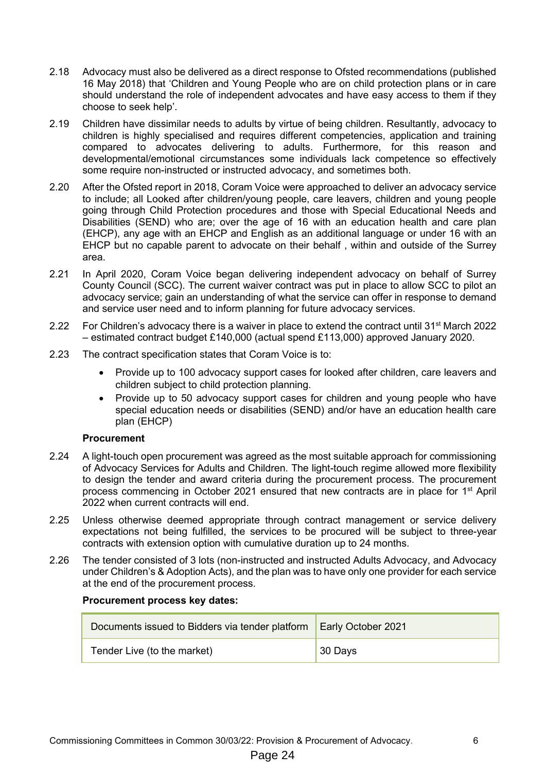- 2.18 Advocacy must also be delivered as a direct response to Ofsted recommendations (published 16 May 2018) that 'Children and Young People who are on child protection plans or in care should understand the role of independent advocates and have easy access to them if they choose to seek help'.
- 2.19 Children have dissimilar needs to adults by virtue of being children. Resultantly, advocacy to children is highly specialised and requires different competencies, application and training compared to advocates delivering to adults. Furthermore, for this reason and developmental/emotional circumstances some individuals lack competence so effectively some require non-instructed or instructed advocacy, and sometimes both.
- 2.20 After the Ofsted report in 2018, Coram Voice were approached to deliver an advocacy service to include; all Looked after children/young people, care leavers, children and young people going through Child Protection procedures and those with Special Educational Needs and Disabilities (SEND) who are; over the age of 16 with an education health and care plan (EHCP), any age with an EHCP and English as an additional language or under 16 with an EHCP but no capable parent to advocate on their behalf , within and outside of the Surrey area.
- 2.21 In April 2020, Coram Voice began delivering independent advocacy on behalf of Surrey County Council (SCC). The current waiver contract was put in place to allow SCC to pilot an advocacy service; gain an understanding of what the service can offer in response to demand and service user need and to inform planning for future advocacy services.
- 2.22 For Children's advocacy there is a waiver in place to extend the contract until 31<sup>st</sup> March 2022 – estimated contract budget £140,000 (actual spend £113,000) approved January 2020.
- 2.23 The contract specification states that Coram Voice is to:
	- Provide up to 100 advocacy support cases for looked after children, care leavers and children subject to child protection planning.
	- Provide up to 50 advocacy support cases for children and young people who have special education needs or disabilities (SEND) and/or have an education health care plan (EHCP)

#### **Procurement**

- 2.24 A light-touch open procurement was agreed as the most suitable approach for commissioning of Advocacy Services for Adults and Children. The light-touch regime allowed more flexibility to design the tender and award criteria during the procurement process. The procurement process commencing in October 2021 ensured that new contracts are in place for 1<sup>st</sup> April 2022 when current contracts will end.
- 2.25 Unless otherwise deemed appropriate through contract management or service delivery expectations not being fulfilled, the services to be procured will be subject to three-year contracts with extension option with cumulative duration up to 24 months.
- 2.26 The tender consisted of 3 lots (non-instructed and instructed Adults Advocacy, and Advocacy under Children's & Adoption Acts), and the plan was to have only one provider for each service at the end of the procurement process.

## **Procurement process key dates:**

| Documents issued to Bidders via tender platform   Early October 2021 |         |
|----------------------------------------------------------------------|---------|
| Tender Live (to the market)                                          | 30 Days |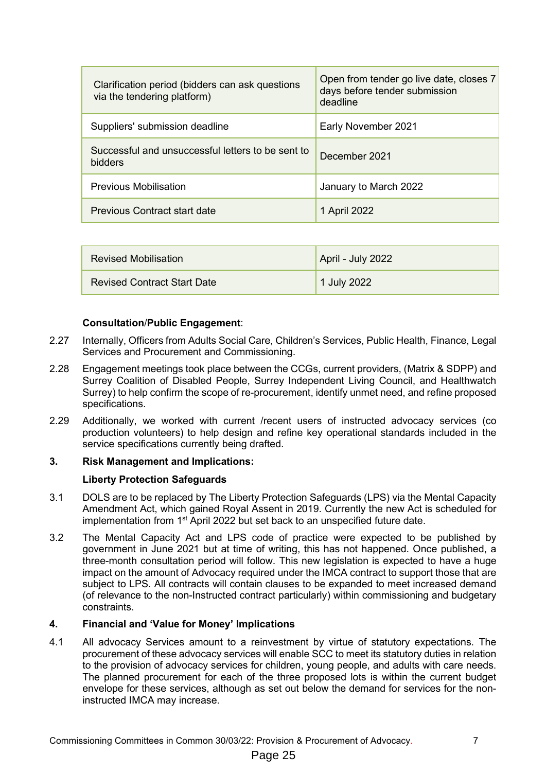| Clarification period (bidders can ask questions<br>via the tendering platform) | Open from tender go live date, closes 7<br>days before tender submission<br>deadline |
|--------------------------------------------------------------------------------|--------------------------------------------------------------------------------------|
| Suppliers' submission deadline                                                 | Early November 2021                                                                  |
| Successful and unsuccessful letters to be sent to<br><b>bidders</b>            | December 2021                                                                        |
| <b>Previous Mobilisation</b>                                                   | January to March 2022                                                                |
| <b>Previous Contract start date</b>                                            | 1 April 2022                                                                         |

| <b>Revised Mobilisation</b>        | April - July 2022 |
|------------------------------------|-------------------|
| <b>Revised Contract Start Date</b> | 1 July 2022       |

#### **Consultation**/**Public Engagement**:

- 2.27 Internally, Officers from Adults Social Care, Children's Services, Public Health, Finance, Legal Services and Procurement and Commissioning.
- 2.28 Engagement meetings took place between the CCGs, current providers, (Matrix & SDPP) and Surrey Coalition of Disabled People, Surrey Independent Living Council, and Healthwatch Surrey) to help confirm the scope of re-procurement, identify unmet need, and refine proposed specifications.
- 2.29 Additionally, we worked with current /recent users of instructed advocacy services (co production volunteers) to help design and refine key operational standards included in the service specifications currently being drafted.

## **3. Risk Management and Implications:**

#### **Liberty Protection Safeguards**

- 3.1 DOLS are to be replaced by The Liberty Protection Safeguards (LPS) via the Mental Capacity Amendment Act, which gained Royal Assent in 2019. Currently the new Act is scheduled for implementation from 1<sup>st</sup> April 2022 but set back to an unspecified future date.
- 3.2 The Mental Capacity Act and LPS code of practice were expected to be published by government in June 2021 but at time of writing, this has not happened. Once published, a three-month consultation period will follow. This new legislation is expected to have a huge impact on the amount of Advocacy required under the IMCA contract to support those that are subject to LPS. All contracts will contain clauses to be expanded to meet increased demand (of relevance to the non-Instructed contract particularly) within commissioning and budgetary constraints.

#### **4. Financial and 'Value for Money' Implications**

4.1 All advocacy Services amount to a reinvestment by virtue of statutory expectations. The procurement of these advocacy services will enable SCC to meet its statutory duties in relation to the provision of advocacy services for children, young people, and adults with care needs. The planned procurement for each of the three proposed lots is within the current budget envelope for these services, although as set out below the demand for services for the noninstructed IMCA may increase.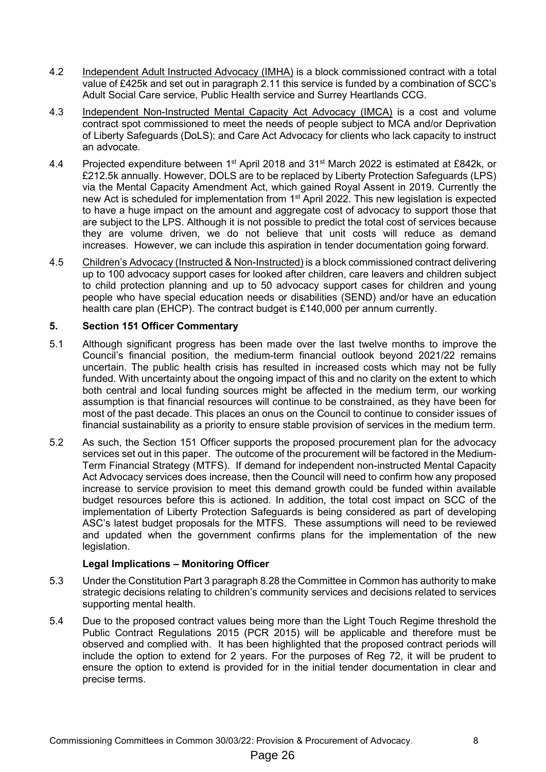- 4.2 Independent Adult Instructed Advocacy (IMHA) is a block commissioned contract with a total value of £425k and set out in paragraph 2.11 this service is funded by a combination of SCC's Adult Social Care service, Public Health service and Surrey Heartlands CCG.
- 4.3 Independent Non-Instructed Mental Capacity Act Advocacy (IMCA) is a cost and volume contract spot commissioned to meet the needs of people subject to MCA and/or Deprivation of Liberty Safeguards (DoLS); and Care Act Advocacy for clients who lack capacity to instruct an advocate.
- 4.4 Projected expenditure between 1<sup>st</sup> April 2018 and 31<sup>st</sup> March 2022 is estimated at £842k, or £212.5k annually. However, DOLS are to be replaced by Liberty Protection Safeguards (LPS) via the Mental Capacity Amendment Act, which gained Royal Assent in 2019. Currently the new Act is scheduled for implementation from 1<sup>st</sup> April 2022. This new legislation is expected to have a huge impact on the amount and aggregate cost of advocacy to support those that are subject to the LPS. Although it is not possible to predict the total cost of services because they are volume driven, we do not believe that unit costs will reduce as demand increases. However, we can include this aspiration in tender documentation going forward.
- 4.5 Children's Advocacy (Instructed & Non-Instructed) is a block commissioned contract delivering up to 100 advocacy support cases for looked after children, care leavers and children subject to child protection planning and up to 50 advocacy support cases for children and young people who have special education needs or disabilities (SEND) and/or have an education health care plan (EHCP). The contract budget is £140,000 per annum currently.

#### **5. Section 151 Officer Commentary**

- 5.1 Although significant progress has been made over the last twelve months to improve the Council's financial position, the medium-term financial outlook beyond 2021/22 remains uncertain. The public health crisis has resulted in increased costs which may not be fully funded. With uncertainty about the ongoing impact of this and no clarity on the extent to which both central and local funding sources might be affected in the medium term, our working assumption is that financial resources will continue to be constrained, as they have been for most of the past decade. This places an onus on the Council to continue to consider issues of financial sustainability as a priority to ensure stable provision of services in the medium term.
- 5.2 As such, the Section 151 Officer supports the proposed procurement plan for the advocacy services set out in this paper. The outcome of the procurement will be factored in the Medium-Term Financial Strategy (MTFS). If demand for independent non-instructed Mental Capacity Act Advocacy services does increase, then the Council will need to confirm how any proposed increase to service provision to meet this demand growth could be funded within available budget resources before this is actioned. In addition, the total cost impact on SCC of the implementation of Liberty Protection Safeguards is being considered as part of developing ASC's latest budget proposals for the MTFS. These assumptions will need to be reviewed and updated when the government confirms plans for the implementation of the new legislation.

#### **Legal Implications – Monitoring Officer**

- 5.3 Under the Constitution Part 3 paragraph 8.28 the Committee in Common has authority to make strategic decisions relating to children's community services and decisions related to services supporting mental health.
- 5.4 Due to the proposed contract values being more than the Light Touch Regime threshold the Public Contract Regulations 2015 (PCR 2015) will be applicable and therefore must be observed and complied with. It has been highlighted that the proposed contract periods will include the option to extend for 2 years. For the purposes of Reg 72, it will be prudent to ensure the option to extend is provided for in the initial tender documentation in clear and precise terms.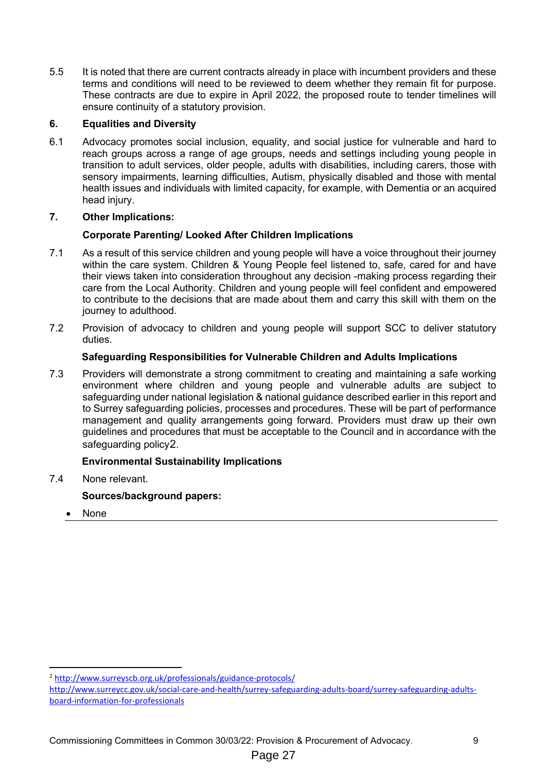5.5 It is noted that there are current contracts already in place with incumbent providers and these terms and conditions will need to be reviewed to deem whether they remain fit for purpose. These contracts are due to expire in April 2022, the proposed route to tender timelines will ensure continuity of a statutory provision.

### **6. Equalities and Diversity**

6.1 Advocacy promotes social inclusion, equality, and social justice for vulnerable and hard to reach groups across a range of age groups, needs and settings including young people in transition to adult services, older people, adults with disabilities, including carers, those with sensory impairments, learning difficulties, Autism, physically disabled and those with mental health issues and individuals with limited capacity, for example, with Dementia or an acquired head injury.

#### **7. Other Implications:**

#### **Corporate Parenting/ Looked After Children Implications**

- 7.1 As a result of this service children and young people will have a voice throughout their journey within the care system. Children & Young People feel listened to, safe, cared for and have their views taken into consideration throughout any decision -making process regarding their care from the Local Authority. Children and young people will feel confident and empowered to contribute to the decisions that are made about them and carry this skill with them on the journey to adulthood.
- 7.2 Provision of advocacy to children and young people will support SCC to deliver statutory duties.

#### **Safeguarding Responsibilities for Vulnerable Children and Adults Implications**

7.3 Providers will demonstrate a strong commitment to creating and maintaining a safe working environment where children and young people and vulnerable adults are subject to safeguarding under national legislation & national guidance described earlier in this report and to Surrey safeguarding policies, processes and procedures. These will be part of performance management and quality arrangements going forward. Providers must draw up their own guidelines and procedures that must be acceptable to the Council and in accordance with the safeguarding policy[2](#page-8-0).

## **Environmental Sustainability Implications**

7.4 None relevant.

## **Sources/background papers:**

• None

<span id="page-8-0"></span><sup>2</sup> <http://www.surreyscb.org.uk/professionals/guidance-protocols/>

[http://www.surreycc.gov.uk/social-care-and-health/surrey-safeguarding-adults-board/surrey-safeguarding-adults](http://www.surreycc.gov.uk/social-care-and-health/surrey-safeguarding-adults-board/surrey-safeguarding-adults-board-information-for-professionals)[board-information-for-professionals](http://www.surreycc.gov.uk/social-care-and-health/surrey-safeguarding-adults-board/surrey-safeguarding-adults-board-information-for-professionals)